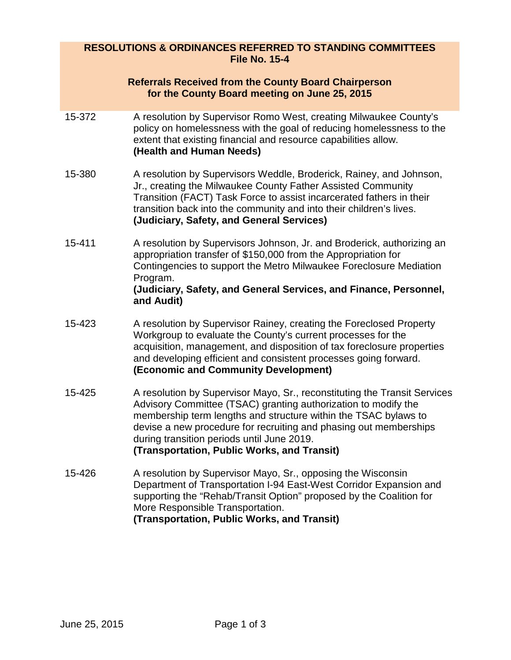## **RESOLUTIONS & ORDINANCES REFERRED TO STANDING COMMITTEES File No. 15-4**

|        | <b>Referrals Received from the County Board Chairperson</b><br>for the County Board meeting on June 25, 2015                                                                                                                                                                                                                                                                     |
|--------|----------------------------------------------------------------------------------------------------------------------------------------------------------------------------------------------------------------------------------------------------------------------------------------------------------------------------------------------------------------------------------|
| 15-372 | A resolution by Supervisor Romo West, creating Milwaukee County's<br>policy on homelessness with the goal of reducing homelessness to the<br>extent that existing financial and resource capabilities allow.<br>(Health and Human Needs)                                                                                                                                         |
| 15-380 | A resolution by Supervisors Weddle, Broderick, Rainey, and Johnson,<br>Jr., creating the Milwaukee County Father Assisted Community<br>Transition (FACT) Task Force to assist incarcerated fathers in their<br>transition back into the community and into their children's lives.<br>(Judiciary, Safety, and General Services)                                                  |
| 15-411 | A resolution by Supervisors Johnson, Jr. and Broderick, authorizing an<br>appropriation transfer of \$150,000 from the Appropriation for<br>Contingencies to support the Metro Milwaukee Foreclosure Mediation<br>Program.<br>(Judiciary, Safety, and General Services, and Finance, Personnel,<br>and Audit)                                                                    |
| 15-423 | A resolution by Supervisor Rainey, creating the Foreclosed Property<br>Workgroup to evaluate the County's current processes for the<br>acquisition, management, and disposition of tax foreclosure properties<br>and developing efficient and consistent processes going forward.<br>(Economic and Community Development)                                                        |
| 15-425 | A resolution by Supervisor Mayo, Sr., reconstituting the Transit Services<br>Advisory Committee (TSAC) granting authorization to modify the<br>membership term lengths and structure within the TSAC bylaws to<br>devise a new procedure for recruiting and phasing out memberships<br>during transition periods until June 2019.<br>(Transportation, Public Works, and Transit) |
| 15-426 | A resolution by Supervisor Mayo, Sr., opposing the Wisconsin<br>Department of Transportation I-94 East-West Corridor Expansion and<br>supporting the "Rehab/Transit Option" proposed by the Coalition for<br>More Responsible Transportation.                                                                                                                                    |

**(Transportation, Public Works, and Transit)**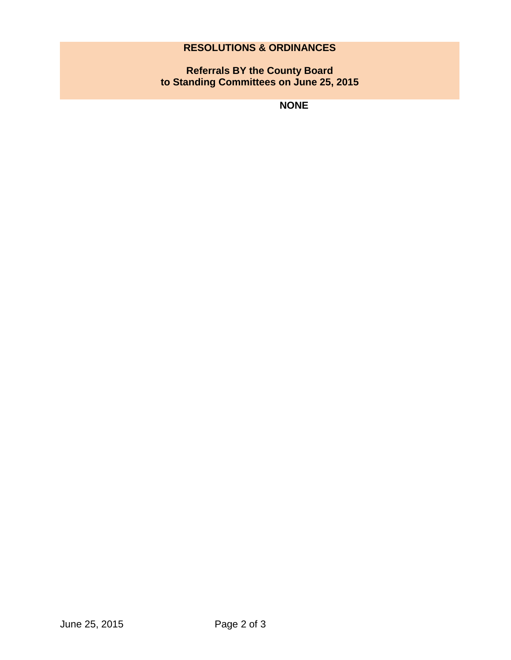## **RESOLUTIONS & ORDINANCES**

**Referrals BY the County Board to Standing Committees on June 25, 2015**

**NONE**